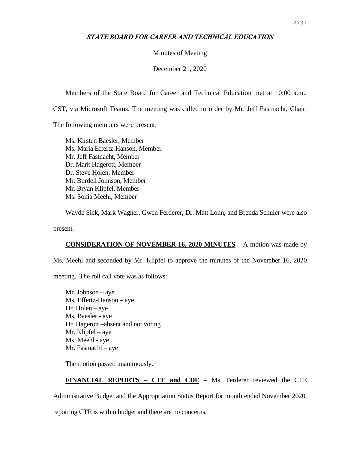## *STATE BOARD FOR CAREER AND TECHNICAL EDUCATION*

## Minutes of Meeting

December 21, 2020

Members of the State Board for Career and Technical Education met at 10:00 a.m.,

CST, via Microsoft Teams. The meeting was called to order by Mr. Jeff Fastnacht, Chair.

The following members were present:

Ms. Kirsten Baesler, Member Ms. Maria Effertz-Hanson, Member Mr. Jeff Fastnacht, Member Dr. Mark Hagerott, Member Dr. Steve Holen, Member Mr. Burdell Johnson, Member Mr. Bryan Klipfel, Member Ms. Sonia Meehl, Member

Wayde Sick, Mark Wagner, Gwen Ferderer, Dr. Matt Lonn, and Brenda Schuler were also

present.

## **CONSIDERATION OF NOVEMBER 16, 2020 MINUTES** – A motion was made by

Ms. Meehl and seconded by Mr. Klipfel to approve the minutes of the November 16, 2020

meeting. The roll call vote was as follows:

Mr. Johnson – aye Ms. Effertz-Hanson – aye Dr. Holen – aye Ms. Baesler - aye Dr. Hagerott –absent and not voting Mr. Klipfel – aye Ms. Meehl - aye Mr. Fastnacht – aye

The motion passed unanimously.

## **FINANCIAL REPORTS – CTE and CDE** – Ms. Ferderer reviewed the CTE

Administrative Budget and the Appropriation Status Report for month ended November 2020,

reporting CTE is within budget and there are no concerns.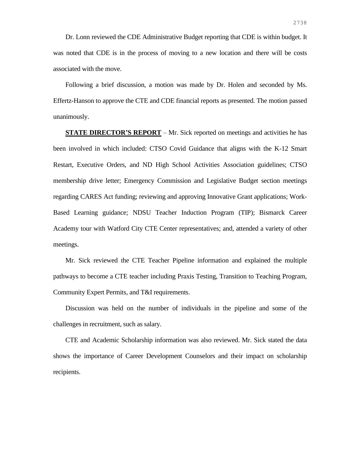Dr. Lonn reviewed the CDE Administrative Budget reporting that CDE is within budget. It was noted that CDE is in the process of moving to a new location and there will be costs associated with the move.

Following a brief discussion, a motion was made by Dr. Holen and seconded by Ms. Effertz-Hanson to approve the CTE and CDE financial reports as presented. The motion passed unanimously.

**STATE DIRECTOR'S REPORT** – Mr. Sick reported on meetings and activities he has been involved in which included: CTSO Covid Guidance that aligns with the K-12 Smart Restart, Executive Orders, and ND High School Activities Association guidelines; CTSO membership drive letter; Emergency Commission and Legislative Budget section meetings regarding CARES Act funding; reviewing and approving Innovative Grant applications; Work-Based Learning guidance; NDSU Teacher Induction Program (TIP); Bismarck Career Academy tour with Watford City CTE Center representatives; and, attended a variety of other meetings.

Mr. Sick reviewed the CTE Teacher Pipeline information and explained the multiple pathways to become a CTE teacher including Praxis Testing, Transition to Teaching Program, Community Expert Permits, and T&I requirements.

Discussion was held on the number of individuals in the pipeline and some of the challenges in recruitment, such as salary.

CTE and Academic Scholarship information was also reviewed. Mr. Sick stated the data shows the importance of Career Development Counselors and their impact on scholarship recipients.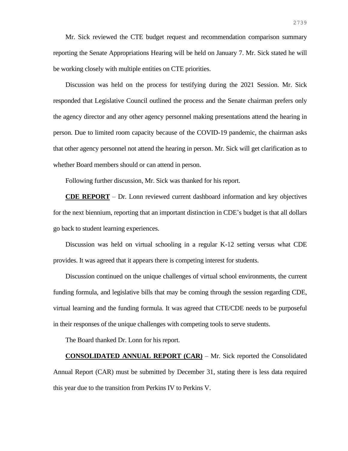Mr. Sick reviewed the CTE budget request and recommendation comparison summary reporting the Senate Appropriations Hearing will be held on January 7. Mr. Sick stated he will be working closely with multiple entities on CTE priorities.

Discussion was held on the process for testifying during the 2021 Session. Mr. Sick responded that Legislative Council outlined the process and the Senate chairman prefers only the agency director and any other agency personnel making presentations attend the hearing in person. Due to limited room capacity because of the COVID-19 pandemic, the chairman asks that other agency personnel not attend the hearing in person. Mr. Sick will get clarification as to whether Board members should or can attend in person.

Following further discussion, Mr. Sick was thanked for his report.

**CDE REPORT** – Dr. Lonn reviewed current dashboard information and key objectives for the next biennium, reporting that an important distinction in CDE's budget is that all dollars go back to student learning experiences.

Discussion was held on virtual schooling in a regular K-12 setting versus what CDE provides. It was agreed that it appears there is competing interest for students.

Discussion continued on the unique challenges of virtual school environments, the current funding formula, and legislative bills that may be coming through the session regarding CDE, virtual learning and the funding formula. It was agreed that CTE/CDE needs to be purposeful in their responses of the unique challenges with competing tools to serve students.

The Board thanked Dr. Lonn for his report.

**CONSOLIDATED ANNUAL REPORT (CAR)** – Mr. Sick reported the Consolidated Annual Report (CAR) must be submitted by December 31, stating there is less data required this year due to the transition from Perkins IV to Perkins V.